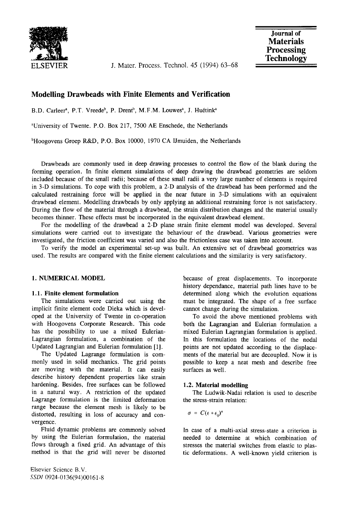

**ELSEVIER** J. Mater. Process. Technol. 45 (1994) 63-68

# **Modelling Drawbeads with Finite Elements and Verification**

B.D. Carleer<sup>a</sup>, P.T. Vreede<sup>b</sup>, P. Drent<sup>b</sup>, M.F.M. Louwes<sup>a</sup>, J. Huétink<sup>a</sup>

aUniversity of Twente. P.O. Box 217, 7500 AE Enschede, the Netherlands

 $b$ Hoogovens Groep R&D, P.O. Box 10000, 1970 CA IJmuiden, the Netherlands

Drawbeads are commonly used in deep drawing processes to control the flow of the blank during the forming operation. In finite element simulations of deep drawing the drawbead geometries are seldom included because of the small radii; because of these small radii a very large number of elements is required in 3-D simulations. To cope with this problem, a 2-D analysis of the drawbead has been performed and the calculated restraining force will be applied in the near future in 3-D simulations with an equivalent drawbead element. Modelling drawbeads by only applying an additional restraining force is not satisfactory. During the flow of the material through a drawbead, the strain distribution changes and the material usually becomes thinner. These effects must be incorporated in the equivalent drawbead element.

For the modelling of the drawbead a 2-D plane strain finite element model was developed. Several simulations were carried out to investigate the behaviour of the drawbead. Various geometries were investigated, the friction coefficient was varied and also the frictionless case was taken into account.

To verify the model an experimental set-up was built. An extensive set of drawbead geometries was used. The results are compared with the finite element calculations and the similarity is very satisfactory.

### 1. NUMERICAL MODEL

### **1.1. Finite element formulation**

The simulations were carried out using the implicit finite element code Dieka which is developed at the University of Twente in co-operation with Hoogovens Corporate Research. This code has the possibility to use a mixed Eulerian-Lagrangian formulation, a combination of the Updated Lagrangian and Eulerian formulation [1].

The Updated Lagrange formulation is commonly used in solid mechanics. The grid points are moving with the material. It can easily describe history dependent properties like strain hardening. Besides, free surfaces can be followed in a natural way. A restriction of the updated Lagrange formulation is the limited deformation range because the element mesh is likely to be distorted, resulting in loss of accuracy and convergence.

Fluid dynamic problems are commonly solved by using the Eulerian formulation, the material flows through a fixed grid. An advantage of this method is that the grid will never be distorted because of great displacements. To incorporate history dependance, material path lines have to be determined along which the evolution equations must be integrated. The shape of a free surface cannot change during the simulation.

To avoid the above mentioned problems with both the Lagrangian and Eulerian formulation a mixed Eulerian Lagrangian formulation is applied. In this formulation the locations of the nodal points are not updated according to the displacements of the material but are decoupled. Now it is possible to keep a neat mesh and describe free surfaces as well.

# **1.2. Material modelling**

The Ludwik-Nadai relation is used to describe the stress-strain relation:

$$
\sigma = C(\epsilon + \epsilon_0)^n
$$

In case of a multi-axial stress-state a criterion is needed to determine at which combination of stresses the material switches from elastic to plastic deformations. A well-known yield criterion is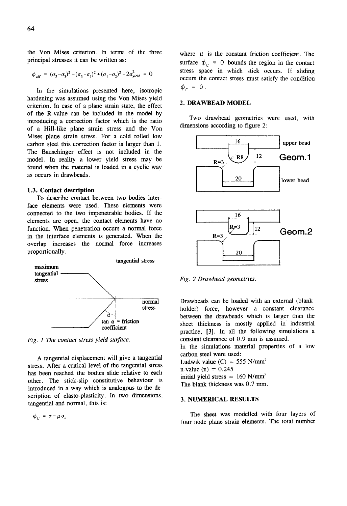the Von Mises criterion. In terms of the three principal stresses it can be written as:

$$
\phi_{vM} = (\sigma_2 - \sigma_3)^2 + (\sigma_3 - \sigma_1)^2 + (\sigma_1 - \sigma_2)^2 - 2\sigma_{yield}^2 = 0
$$

In the simulations presented here, isotropic hardening was assumed using the Von Mises yield criterion. In case of a plane strain state, the effect of the R-value can be included in the model by introducing a correction factor which is the ratio of a Hill-like plane strain stress and the Von Mises plane strain stress. For a cold roiled low carbon steel this correction factor is larger than 1. The Bauschinger effect is not included in the model. In reality a lower yield stress may be found when the material is loaded in a cyclic way as occurs in drawbeads.

#### 1.3. Contact **description**

To describe contact between two bodies interface elements were used. These elements were connected to the two impenetrable bodies. If the elements are open, the contact elements have no function. When penetration occurs a normal force in the interface elements is generated. When the overlap increases the normal force increases proportionally.



*Fig. 1 The contact stress yield surface.* 

A tangential displacement will give a tangential stress. After a critical level of the tangential stress has been reached the bodies slide relative to each other. The stick-slip constitutive behaviour is introduced in a way which is analogous to the description of elasto-plasticity. In two dimensions, tangential and normal, this is:

 $\phi_C = \tau - \mu \sigma_n$ 

where  $\mu$  is the constant friction coefficient. The surface  $\phi_{\alpha} = 0$  bounds the region in the contact stress space in which stick occurs. If sliding occurs the contact stress must satisfy the condition  $\phi_c = 0$ .

### **2. DRAWBEAD MODEL**

Two drawbead geometries were used, with dimensions according to figure 2:



*Fig. 2 Drawbead geometries.* 

Drawbeads can be loaded with an external (blankholder) force, however a constant clearance between the drawbeads which is larger than the sheet thickness is mostly applied in industrial practice, [3]. In all the following simulations a constant clearance of 0.9 mm is assumed.

In the simulations material properties of a low carbon steel were used:

Ludwik value  $(C) = 555$  N/mm<sup>2</sup>  $n$ -value (n) = 0.245 initial yield stress =  $160$  N/mm<sup>2</sup> The blank thickness was 0.7 mm.

# 3. NUMERICAL RESULTS

The sheet was modelled with four layers of four node plane strain elements. The total number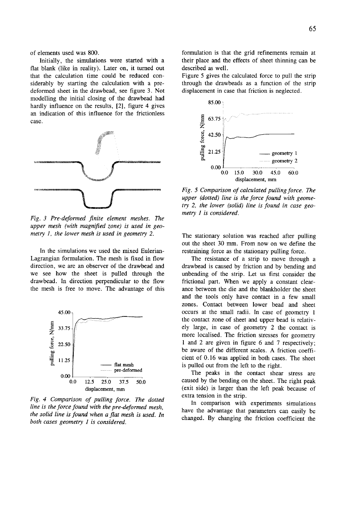of elements used was 800.

Initially, the simulations were started with a flat blank (like in reality). Later on, it turned out that the calculation time could be reduced considerably by starting the calculation with a predeformed sheet in the drawbead, see figure 3. Not modelling the initial closing of the drawbead had hardly influence on the results, [2], figure 4 gives an indication of this influence for the frictionless case.



*Fig. 3 Pre-deformed finite element meshes. The upper mesh (with magnified zone) is used in geometry 1, the lower mesh is used in geometry 2.* 

In the simulations we used the mixed Eulerian-Lagrangian formulation. The mesh is fixed in flow direction, we are an observer of the drawbead and we see how the sheet is pulled through the drawbead. In direction perpendicular to the flow the mesh is free to move. The advantage of this



*Fig. 4 Comparison of pulling force. The dotted line is the force found with the pre-deformed mesh, the solid line is found when a flat mesh is used. In both cases geometry 1 is considered.* 

formulation is that the grid refinements remain at their place and the effects of sheet thinning can be described as well.

Figure 5 gives the calculated force to pull the strip through the drawbeads as a function of the strip displacement in case that friction is neglected.



*Fig. 5 Comparison of calculated pulling force. The upper (dotted) line is the force found with geometry 2, the lower (solid) line is found in case geometry 1 is considered.* 

The stationary solution was reached after pulling out the sheet 30 mm. From now on we define the restraining force as the stationary pulling force.

The resistance of a strip to move through a drawbead is caused by friction and by bending and unbending of the strip. Let us first consider the frictional part. When we apply a constant clearance between the die and the blankholder the sheet and the tools only have contact in a few small zones. Contact between lower bead and sheet occurs at the small radii. In case of geometry 1 the contact zone of sheet and upper bead is relatively large, in case of geometry 2 the contact is more localised. The friction stresses for geometry 1 and 2 are given in figure 6 and 7 respectively; be aware of the different scales. A friction coefficient of 0.16 was applied in both cases. The sheet is pulled out from the left to the right.

The peaks in the contact shear stress are caused by the bending on the sheet. The right peak (exit side) is larger than the left peak because of extra tension in the strip.

In comparison with experiments simulations have the advantage that parameters can easily be changed. By changing the friction coefficient the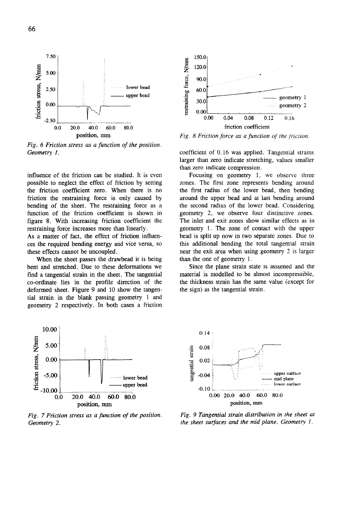

*Fig. 6 Friction stress as a function of the position. Geometry 1.* 

influence of the friction can be studied. It is even possible to neglect the effect of friction by setting the friction coefficient zero. When there is no friction the restraining force is only caused by bending of the sheet. The restraining force as a function of the friction coefficient is shown in figure 8. With increasing friction coefficient the restraining force increases more than linearly.

As a matter of fact, the effect of friction influences the required bending energy and vice versa, so these effects cannot be uncoupled.

When the sheet passes the drawbead it is being bent and stretched. Due to these deformations we find a tangential strain in the sheet. The tangential co-ordinate lies in the profile direction of the deformed sheet. Figure 9 and 10 show the tangential strain in the blank passing geometry 1 and geometry 2 respectively. In both cases a friction



*Fig. 7 Friction stress as a function of the position, Geometry 2.* 



*Fig. 8 Friction force as a function of the friction.* 

coefficient of 0.16 was applied. Tangential strains larger than zero indicate stretching, values smaller than zero indicate compression,

Focusing on geometry 1, we observe three zones. The first zone represents bending around the first radius of the lower bead, then bending around the upper bead and at last bending around the second radius of the lower bead. Considering geometry 2, we observe four distinctive zones. The inlet and exit zones show similar effects as in geometry 1. The zone of contact with the upper bead is split up now in two separate zones. Due to this additional bending the total tangential strain near the exit area when using geometry 2 is larger than the one of geometry 1.

Since the plane strain state is assumed and the material is modelled to be almost incompressible, the thickness strain has the same value (except for the sign) as the tangential strain.



*Fig. 9 Tangential strain distribution in the sheet at the sheet surfaces and the mid plane. Geometry 1.*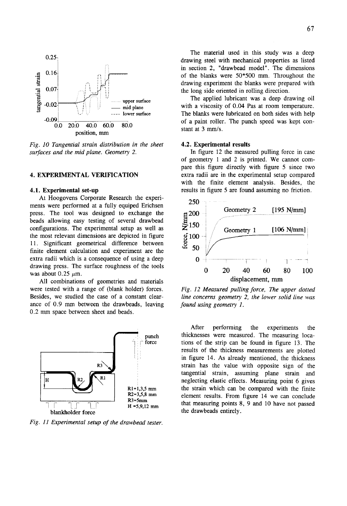

*Fig. 10 Tangential strain distribution in the sheet surfaces and the mid plane. Geometry 2.* 

# 4. EXPERIMENTAL VERIFICATION

#### **4.1. Experimental set-up**

At Hoogovens Corporate Research the experiments were performed at a fully equiped Erichsen press. The tool was designed to exchange the beads allowing easy testing of several drawbead configurations. The experimental setup as well as the most relevant dimensions are depicted in figure 11. Significant geometrical difference between finite element calculation and experiment are the extra radii which is a consequence of using a deep drawing press. The surface roughness of the tools was about  $0.25 \mu m$ .

All combinations of geometries and materials were tested with a range of (blank holder) forces. Besides, we studied the case of a constant clearance of 0.9 mm between the drawbeads, leaving 0.2 mm space between sheet and beads.



*Fig. 11 Experimental setup of the drawbead tester.* 

The material used in this study was a deep drawing steel with mechanical properties as listed in section 2, "drawbead model". The dimensions of the blanks were 50\*500 mm. Throughout the drawing experiment the blanks were prepared with the long side oriented in rolling direction.

The applied lubricant was a deep drawing oil with a viscosity of 0.04 Pas at room temperature. The blanks were lubricated on both sides with help of a paint roller. The punch speed was kept constant at 3 mm/s.

# 4.2. Experimental results

In figure 12 the measured pulling force in case of geometry 1 and 2 is printed. We cannot compare this figure directly with figure 5 since two extra radii are in the experimental setup compared with the finite element analysis. Besides, the results in figure 5 are found assuming no friction.



*Fig. 12 Measured pulling force, The upper dotted line concerns geometry 2, the lower solid line was found using geometry 1.* 

After performing the experiments the thicknesses were measured. The measuring locations of the strip can be found in figure 13. The results of the thickness measurements are plotted in figure 14. As already mentioned, the thickness strain has the value with opposite sign of the tangential strain, assuming plane strain and neglecting elastic effects. Measuring point 6 gives the strain which can be compared with the finite element results. From figure 14 we can conclude that measuring points 8, 9 and 10 have not passed the drawbeads entirely.